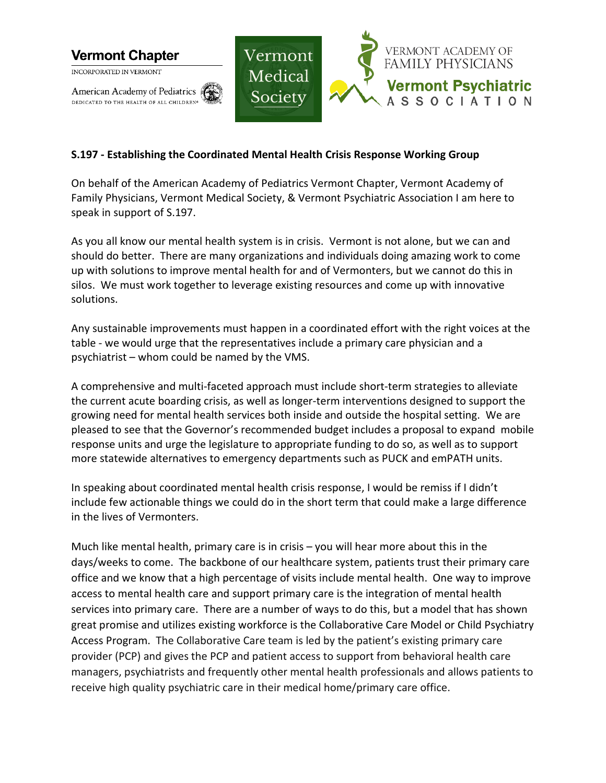

## **S.197 - Establishing the Coordinated Mental Health Crisis Response Working Group**

On behalf of the American Academy of Pediatrics Vermont Chapter, Vermont Academy of Family Physicians, Vermont Medical Society, & Vermont Psychiatric Association I am here to speak in support of S.197.

As you all know our mental health system is in crisis. Vermont is not alone, but we can and should do better. There are many organizations and individuals doing amazing work to come up with solutions to improve mental health for and of Vermonters, but we cannot do this in silos. We must work together to leverage existing resources and come up with innovative solutions.

Any sustainable improvements must happen in a coordinated effort with the right voices at the table - we would urge that the representatives include a primary care physician and a psychiatrist – whom could be named by the VMS.

A comprehensive and multi-faceted approach must include short-term strategies to alleviate the current acute boarding crisis, as well as longer-term interventions designed to support the growing need for mental health services both inside and outside the hospital setting. We are pleased to see that the Governor's recommended budget includes a proposal to expand mobile response units and urge the legislature to appropriate funding to do so, as well as to support more statewide alternatives to emergency departments such as PUCK and emPATH units.

In speaking about coordinated mental health crisis response, I would be remiss if I didn't include few actionable things we could do in the short term that could make a large difference in the lives of Vermonters.

Much like mental health, primary care is in crisis – you will hear more about this in the days/weeks to come. The backbone of our healthcare system, patients trust their primary care office and we know that a high percentage of visits include mental health. One way to improve access to mental health care and support primary care is the integration of mental health services into primary care. There are a number of ways to do this, but a model that has shown great promise and utilizes existing workforce is the Collaborative Care Model or Child Psychiatry Access Program. The Collaborative Care team is led by the patient's existing primary care provider (PCP) and gives the PCP and patient access to support from behavioral health care managers, psychiatrists and frequently other mental health professionals and allows patients to receive high quality psychiatric care in their medical home/primary care office.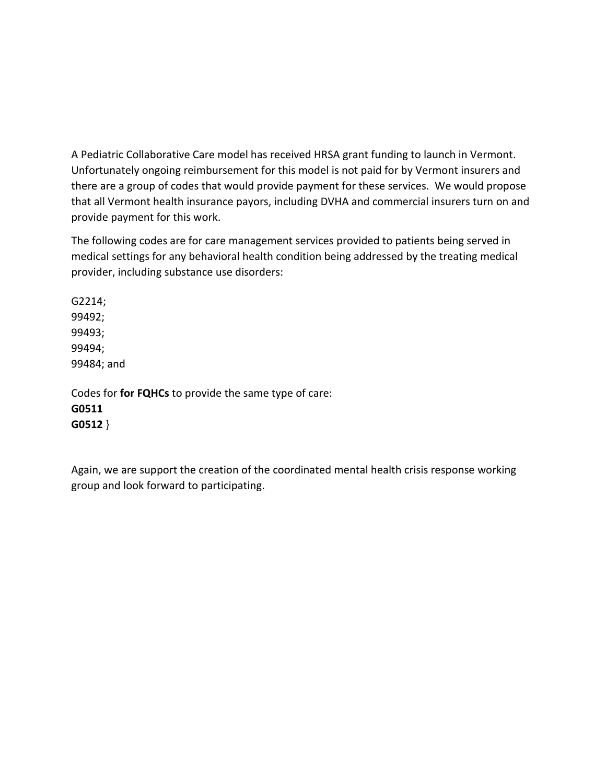A Pediatric Collaborative Care model has received HRSA grant funding to launch in Vermont. Unfortunately ongoing reimbursement for this model is not paid for by Vermont insurers and there are a group of codes that would provide payment for these services. We would propose that all Vermont health insurance payors, including DVHA and commercial insurers turn on and provide payment for this work.

The following codes are for care management services provided to patients being served in medical settings for any behavioral health condition being addressed by the treating medical provider, including substance use disorders:

G2214; 99492; 99493; 99494; 99484; and

Codes for **for FQHCs** to provide the same type of care: **G0511 G0512** }

Again, we are support the creation of the coordinated mental health crisis response working group and look forward to participating.